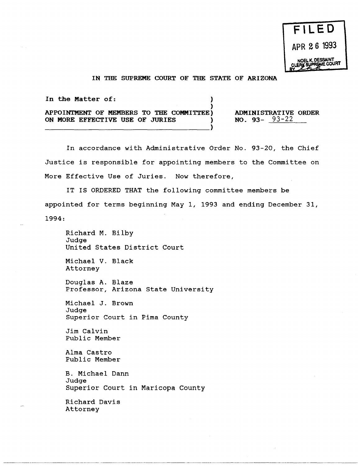## IN THE SUPREME COURT OF THE STATE OF ARIZONA

)

In the Matter of: (1)

APPOINTMENT OF MEMBERS TO THE COMMITTEE) ON MORE EFFECTIVE USE OF JURIES ) -------------------------------------)

ADMINISTRATIVE ORDER NO. 93-  $93-22$ 

In accordance with Administrative Order No. 93-20, the Chief Justice is responsible for appointing members to the Committee on More Effective Use of Juries. Now therefore,

IT IS ORDERED THAT the following committee members be appointed for terms beginning May 1, 1993 and ending December 31, 1994:

Richard M. Bilby Judge United States District Court

Michael V. Black Attorney

Douglas A. Blaze Professor, Arizona State University

Michael J. Brown Judge Superior Court in Pima County

Jim Calvin Public Member

Alma Castro Public Member

B. Michael Dann Judge Superior Court in Maricopa County

Richard Davis Attorney

-------~--------------.-.-.----- -----------~----- ----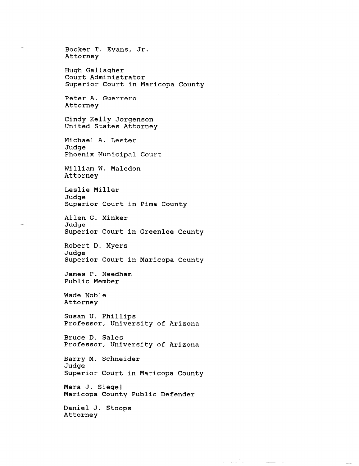Booker T. Evans, Jr. Attorney Hugh Gallagher Court Administrator Superior Court in Maricopa County Peter A. Guerrero Attorney Cindy Kelly Jorgenson United States Attorney Michael A. Lester Judge Phoenix Municipal Court William W. Maledon Attorney Leslie Miller Judge Superior Court in Pima County Allen G. Minker Judge Superior Court in Greenlee County Robert D. Myers Judge Superior Court in Maricopa County James P. Needham Public Member Wade Noble Attorney Susan U. Phillips Professor, University of Arizona Bruce D. Sales Professor, University of Arizona Barry M. Schneider Judge Superior Court in Maricopa County Mara J. Siegel Maricopa County Public Defender Daniel J. Stoops Attorney